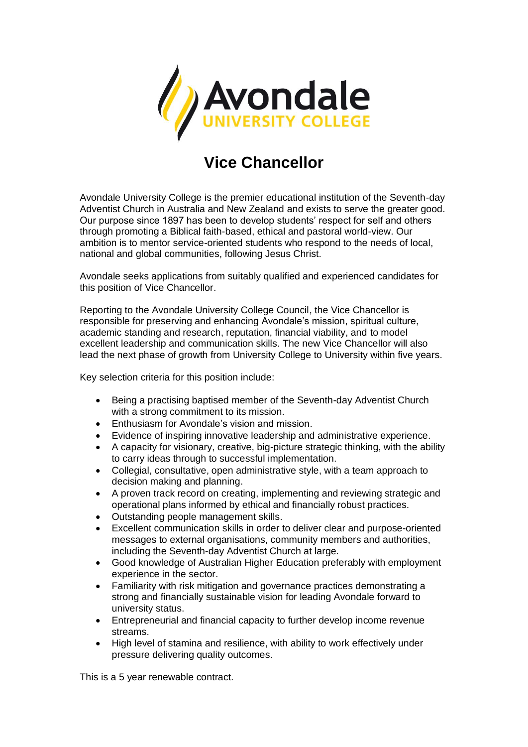

## **Vice Chancellor**

Avondale University College is the premier educational institution of the Seventh-day Adventist Church in Australia and New Zealand and exists to serve the greater good. Our purpose since 1897 has been to develop students' respect for self and others through promoting a Biblical faith-based, ethical and pastoral world-view. Our ambition is to mentor service-oriented students who respond to the needs of local, national and global communities, following Jesus Christ.

Avondale seeks applications from suitably qualified and experienced candidates for this position of Vice Chancellor.

Reporting to the Avondale University College Council, the Vice Chancellor is responsible for preserving and enhancing Avondale's mission, spiritual culture, academic standing and research, reputation, financial viability, and to model excellent leadership and communication skills. The new Vice Chancellor will also lead the next phase of growth from University College to University within five years.

Key selection criteria for this position include:

- Being a practising baptised member of the Seventh-day Adventist Church with a strong commitment to its mission.
- Enthusiasm for Avondale's vision and mission.
- Evidence of inspiring innovative leadership and administrative experience.
- A capacity for visionary, creative, big-picture strategic thinking, with the ability to carry ideas through to successful implementation.
- Collegial, consultative, open administrative style, with a team approach to decision making and planning.
- A proven track record on creating, implementing and reviewing strategic and operational plans informed by ethical and financially robust practices.
- Outstanding people management skills.
- Excellent communication skills in order to deliver clear and purpose-oriented messages to external organisations, community members and authorities, including the Seventh-day Adventist Church at large.
- Good knowledge of Australian Higher Education preferably with employment experience in the sector.
- Familiarity with risk mitigation and governance practices demonstrating a strong and financially sustainable vision for leading Avondale forward to university status.
- Entrepreneurial and financial capacity to further develop income revenue streams.
- High level of stamina and resilience, with ability to work effectively under pressure delivering quality outcomes.

This is a 5 year renewable contract.